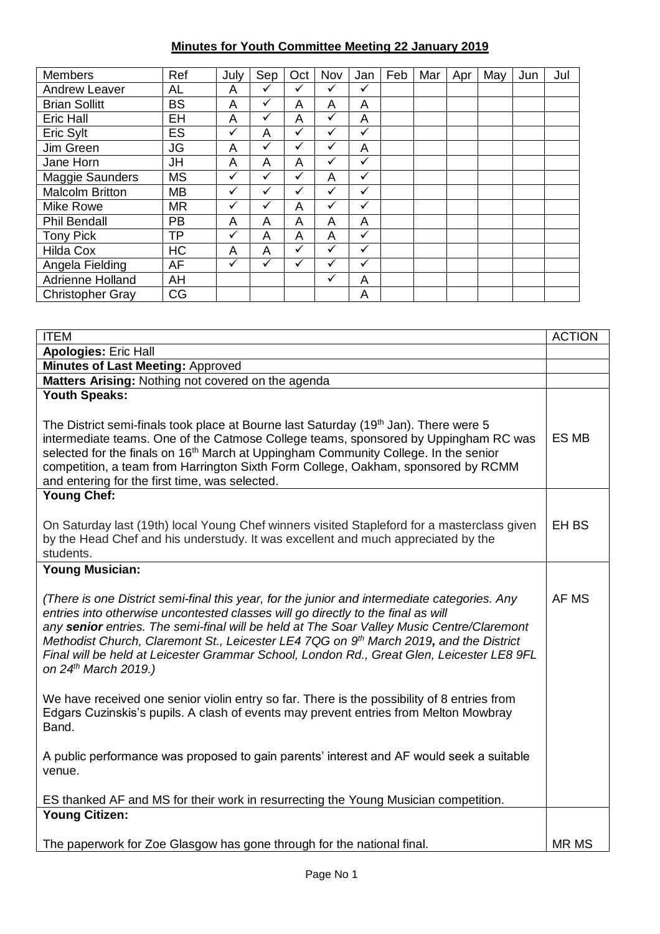## **Minutes for Youth Committee Meeting 22 January 2019**

| <b>Members</b>          | Ref       | July         | Sep          | Oct          | Nov          | Jan          | Feb | Mar | Apr | May | Jun | Jul |
|-------------------------|-----------|--------------|--------------|--------------|--------------|--------------|-----|-----|-----|-----|-----|-----|
| <b>Andrew Leaver</b>    | AL        | A            | ✓            | ✓            | ✓            | ✓            |     |     |     |     |     |     |
| <b>Brian Sollitt</b>    | <b>BS</b> | A            | $\checkmark$ | A            | A            | A            |     |     |     |     |     |     |
| Eric Hall               | EH        | A            | $\checkmark$ | A            | ✓            | A            |     |     |     |     |     |     |
| Eric Sylt               | ES        | $\checkmark$ | A            | ✓            | ✓            | ✓            |     |     |     |     |     |     |
| Jim Green               | <b>JG</b> | A            | $\checkmark$ | $\checkmark$ | $\checkmark$ | A            |     |     |     |     |     |     |
| Jane Horn               | JH        | A            | A            | A            | ✓            | $\checkmark$ |     |     |     |     |     |     |
| Maggie Saunders         | <b>MS</b> | ✓            | ✓            | ✓            | A            | ✓            |     |     |     |     |     |     |
| <b>Malcolm Britton</b>  | <b>MB</b> | $\checkmark$ | $\checkmark$ | ✓            | $\checkmark$ | ✓            |     |     |     |     |     |     |
| Mike Rowe               | <b>MR</b> | ✓            | ✓            | A            | $\checkmark$ | ✓            |     |     |     |     |     |     |
| <b>Phil Bendall</b>     | <b>PB</b> | A            | A            | A            | A            | A            |     |     |     |     |     |     |
| <b>Tony Pick</b>        | ΤP        | $\checkmark$ | A            | A            | A            | ✓            |     |     |     |     |     |     |
| <b>Hilda Cox</b>        | <b>HC</b> | A            | A            | ✓            | ✓            | ✓            |     |     |     |     |     |     |
| Angela Fielding         | AF        | ✓            | $\checkmark$ | ✓            | ✓            | ✓            |     |     |     |     |     |     |
| Adrienne Holland        | AH        |              |              |              | ✓            | A            |     |     |     |     |     |     |
| <b>Christopher Gray</b> | CG        |              |              |              |              | A            |     |     |     |     |     |     |

| <b>ITEM</b>                                                                                                                                                                                                                                                                                                                                                                                                                                                                                  | <b>ACTION</b>    |
|----------------------------------------------------------------------------------------------------------------------------------------------------------------------------------------------------------------------------------------------------------------------------------------------------------------------------------------------------------------------------------------------------------------------------------------------------------------------------------------------|------------------|
| <b>Apologies: Eric Hall</b>                                                                                                                                                                                                                                                                                                                                                                                                                                                                  |                  |
| <b>Minutes of Last Meeting: Approved</b>                                                                                                                                                                                                                                                                                                                                                                                                                                                     |                  |
| Matters Arising: Nothing not covered on the agenda                                                                                                                                                                                                                                                                                                                                                                                                                                           |                  |
| <b>Youth Speaks:</b>                                                                                                                                                                                                                                                                                                                                                                                                                                                                         |                  |
| The District semi-finals took place at Bourne last Saturday (19 <sup>th</sup> Jan). There were 5<br>intermediate teams. One of the Catmose College teams, sponsored by Uppingham RC was<br>selected for the finals on 16 <sup>th</sup> March at Uppingham Community College. In the senior<br>competition, a team from Harrington Sixth Form College, Oakham, sponsored by RCMM<br>and entering for the first time, was selected.                                                            | ES MB            |
| <b>Young Chef:</b>                                                                                                                                                                                                                                                                                                                                                                                                                                                                           |                  |
| On Saturday last (19th) local Young Chef winners visited Stapleford for a masterclass given<br>by the Head Chef and his understudy. It was excellent and much appreciated by the<br>students.                                                                                                                                                                                                                                                                                                | EH <sub>BS</sub> |
| <b>Young Musician:</b>                                                                                                                                                                                                                                                                                                                                                                                                                                                                       |                  |
| (There is one District semi-final this year, for the junior and intermediate categories. Any<br>entries into otherwise uncontested classes will go directly to the final as will<br>any senior entries. The semi-final will be held at The Soar Valley Music Centre/Claremont<br>Methodist Church, Claremont St., Leicester LE4 7QG on 9th March 2019, and the District<br>Final will be held at Leicester Grammar School, London Rd., Great Glen, Leicester LE8 9FL<br>on 24th March 2019.) | AF MS            |
| We have received one senior violin entry so far. There is the possibility of 8 entries from<br>Edgars Cuzinskis's pupils. A clash of events may prevent entries from Melton Mowbray<br>Band.                                                                                                                                                                                                                                                                                                 |                  |
| A public performance was proposed to gain parents' interest and AF would seek a suitable<br>venue.                                                                                                                                                                                                                                                                                                                                                                                           |                  |
| ES thanked AF and MS for their work in resurrecting the Young Musician competition.                                                                                                                                                                                                                                                                                                                                                                                                          |                  |
| <b>Young Citizen:</b>                                                                                                                                                                                                                                                                                                                                                                                                                                                                        |                  |
| The paperwork for Zoe Glasgow has gone through for the national final.                                                                                                                                                                                                                                                                                                                                                                                                                       | <b>MR MS</b>     |